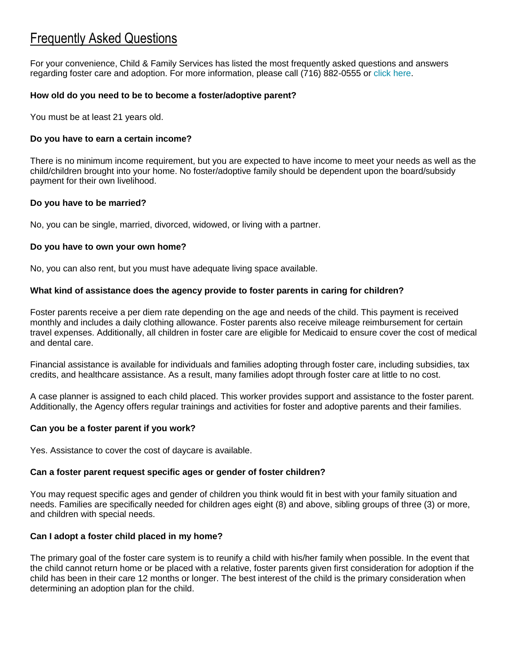# Frequently Asked Questions

For your convenience, Child & Family Services has listed the most frequently asked questions and answers regarding foster care and adoption. For more information, please call (716) 882-0555 or [click here.](http://www.cfsbny.org/programs/children/inquiry.aspx)

# **How old do you need to be to become a foster/adoptive parent?**

You must be at least 21 years old.

# **Do you have to earn a certain income?**

There is no minimum income requirement, but you are expected to have income to meet your needs as well as the child/children brought into your home. No foster/adoptive family should be dependent upon the board/subsidy payment for their own livelihood.

# **Do you have to be married?**

No, you can be single, married, divorced, widowed, or living with a partner.

# **Do you have to own your own home?**

No, you can also rent, but you must have adequate living space available.

# **What kind of assistance does the agency provide to foster parents in caring for children?**

Foster parents receive a per diem rate depending on the age and needs of the child. This payment is received monthly and includes a daily clothing allowance. Foster parents also receive mileage reimbursement for certain travel expenses. Additionally, all children in foster care are eligible for Medicaid to ensure cover the cost of medical and dental care.

Financial assistance is available for individuals and families adopting through foster care, including subsidies, tax credits, and healthcare assistance. As a result, many families adopt through foster care at little to no cost.

A case planner is assigned to each child placed. This worker provides support and assistance to the foster parent. Additionally, the Agency offers regular trainings and activities for foster and adoptive parents and their families.

# **Can you be a foster parent if you work?**

Yes. Assistance to cover the cost of daycare is available.

# **Can a foster parent request specific ages or gender of foster children?**

You may request specific ages and gender of children you think would fit in best with your family situation and needs. Families are specifically needed for children ages eight (8) and above, sibling groups of three (3) or more, and children with special needs.

# **Can I adopt a foster child placed in my home?**

The primary goal of the foster care system is to reunify a child with his/her family when possible. In the event that the child cannot return home or be placed with a relative, foster parents given first consideration for adoption if the child has been in their care 12 months or longer. The best interest of the child is the primary consideration when determining an adoption plan for the child.